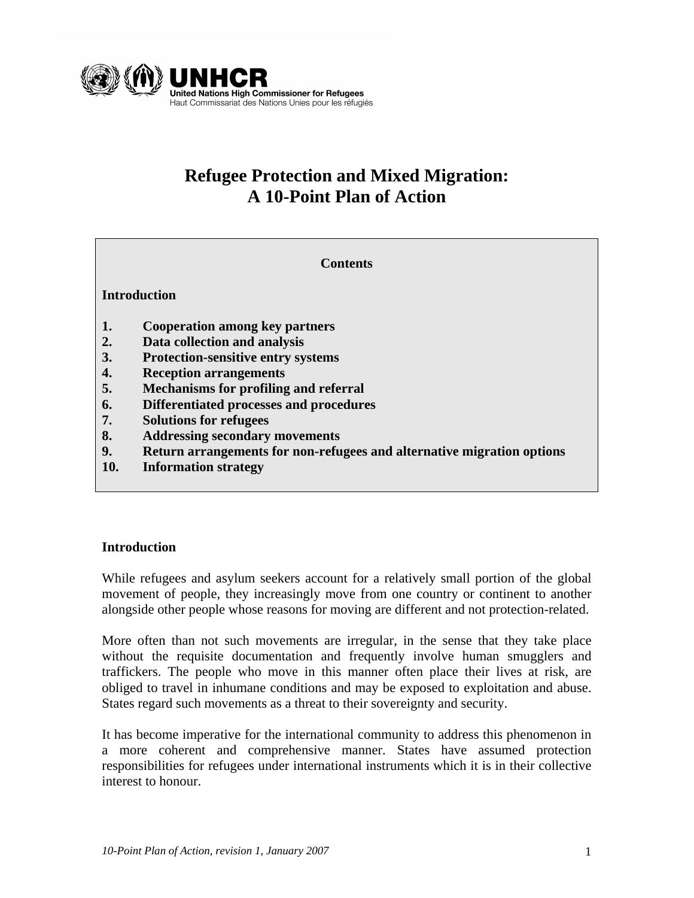

## **Refugee Protection and Mixed Migration: A 10-Point Plan of Action**

**Contents** 

#### **Introduction**

- **1. Cooperation among key partners**
- **2. Data collection and analysis**
- **3. Protection-sensitive entry systems**
- **4. Reception arrangements**
- **5. Mechanisms for profiling and referral**
- **6. Differentiated processes and procedures**
- **7. Solutions for refugees**
- **8. Addressing secondary movements**
- **9. Return arrangements for non-refugees and alternative migration options**
- **10. Information strategy**

#### **Introduction**

While refugees and asylum seekers account for a relatively small portion of the global movement of people, they increasingly move from one country or continent to another alongside other people whose reasons for moving are different and not protection-related.

More often than not such movements are irregular, in the sense that they take place without the requisite documentation and frequently involve human smugglers and traffickers. The people who move in this manner often place their lives at risk, are obliged to travel in inhumane conditions and may be exposed to exploitation and abuse. States regard such movements as a threat to their sovereignty and security.

It has become imperative for the international community to address this phenomenon in a more coherent and comprehensive manner. States have assumed protection responsibilities for refugees under international instruments which it is in their collective interest to honour.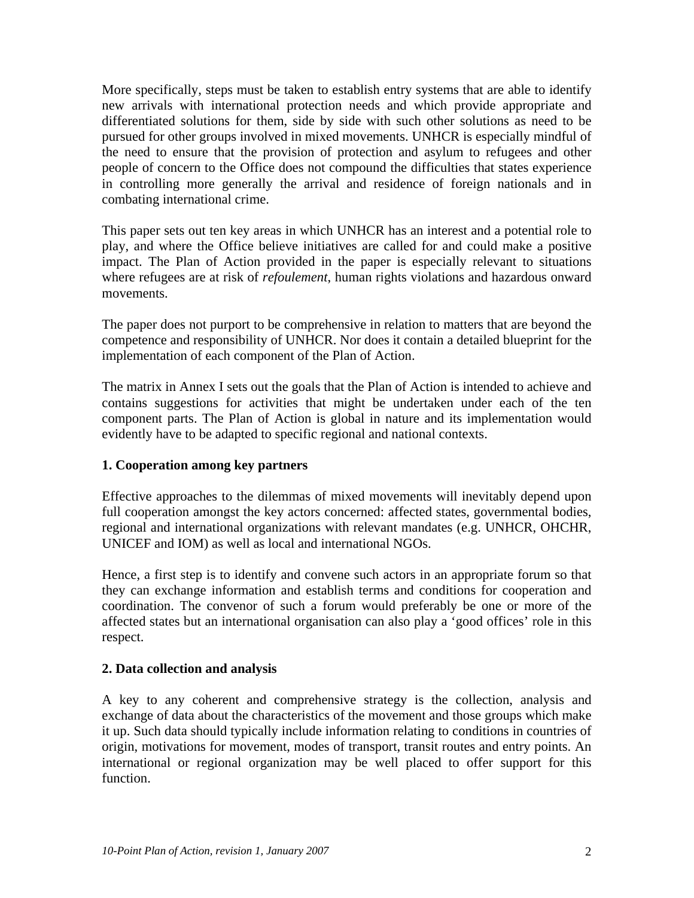More specifically, steps must be taken to establish entry systems that are able to identify new arrivals with international protection needs and which provide appropriate and differentiated solutions for them, side by side with such other solutions as need to be pursued for other groups involved in mixed movements. UNHCR is especially mindful of the need to ensure that the provision of protection and asylum to refugees and other people of concern to the Office does not compound the difficulties that states experience in controlling more generally the arrival and residence of foreign nationals and in combating international crime.

This paper sets out ten key areas in which UNHCR has an interest and a potential role to play, and where the Office believe initiatives are called for and could make a positive impact. The Plan of Action provided in the paper is especially relevant to situations where refugees are at risk of *refoulement*, human rights violations and hazardous onward movements.

The paper does not purport to be comprehensive in relation to matters that are beyond the competence and responsibility of UNHCR. Nor does it contain a detailed blueprint for the implementation of each component of the Plan of Action.

The matrix in Annex I sets out the goals that the Plan of Action is intended to achieve and contains suggestions for activities that might be undertaken under each of the ten component parts. The Plan of Action is global in nature and its implementation would evidently have to be adapted to specific regional and national contexts.

## **1. Cooperation among key partners**

Effective approaches to the dilemmas of mixed movements will inevitably depend upon full cooperation amongst the key actors concerned: affected states, governmental bodies, regional and international organizations with relevant mandates (e.g. UNHCR, OHCHR, UNICEF and IOM) as well as local and international NGOs.

Hence, a first step is to identify and convene such actors in an appropriate forum so that they can exchange information and establish terms and conditions for cooperation and coordination. The convenor of such a forum would preferably be one or more of the affected states but an international organisation can also play a 'good offices' role in this respect.

## **2. Data collection and analysis**

A key to any coherent and comprehensive strategy is the collection, analysis and exchange of data about the characteristics of the movement and those groups which make it up. Such data should typically include information relating to conditions in countries of origin, motivations for movement, modes of transport, transit routes and entry points. An international or regional organization may be well placed to offer support for this function.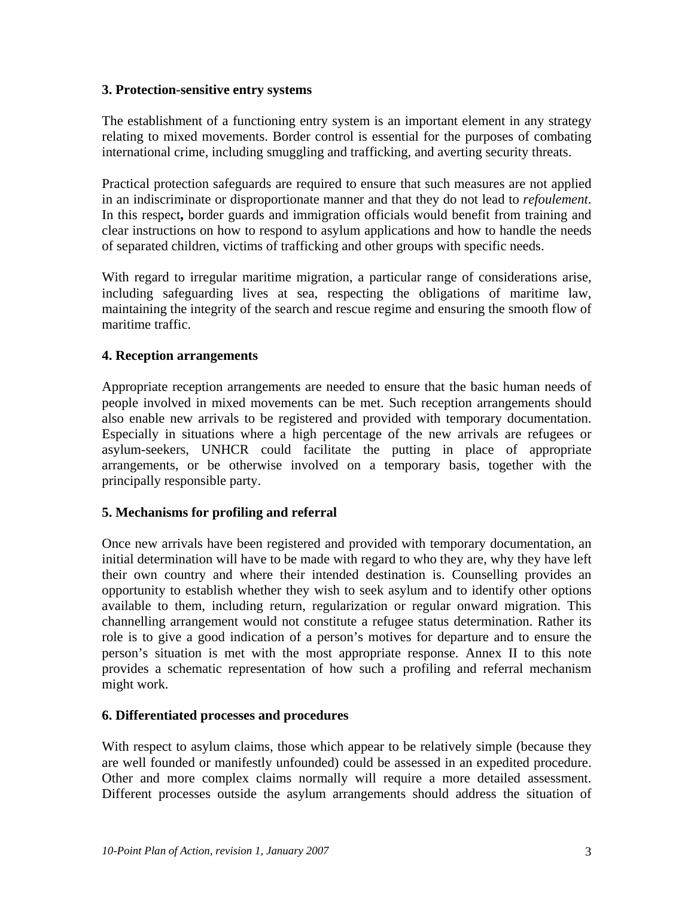#### **3. Protection-sensitive entry systems**

The establishment of a functioning entry system is an important element in any strategy relating to mixed movements. Border control is essential for the purposes of combating international crime, including smuggling and trafficking, and averting security threats.

Practical protection safeguards are required to ensure that such measures are not applied in an indiscriminate or disproportionate manner and that they do not lead to *refoulement*. In this respect**,** border guards and immigration officials would benefit from training and clear instructions on how to respond to asylum applications and how to handle the needs of separated children, victims of trafficking and other groups with specific needs.

With regard to irregular maritime migration, a particular range of considerations arise, including safeguarding lives at sea, respecting the obligations of maritime law, maintaining the integrity of the search and rescue regime and ensuring the smooth flow of maritime traffic.

#### **4. Reception arrangements**

Appropriate reception arrangements are needed to ensure that the basic human needs of people involved in mixed movements can be met. Such reception arrangements should also enable new arrivals to be registered and provided with temporary documentation. Especially in situations where a high percentage of the new arrivals are refugees or asylum-seekers, UNHCR could facilitate the putting in place of appropriate arrangements, or be otherwise involved on a temporary basis, together with the principally responsible party.

## **5. Mechanisms for profiling and referral**

Once new arrivals have been registered and provided with temporary documentation, an initial determination will have to be made with regard to who they are, why they have left their own country and where their intended destination is. Counselling provides an opportunity to establish whether they wish to seek asylum and to identify other options available to them, including return, regularization or regular onward migration. This channelling arrangement would not constitute a refugee status determination. Rather its role is to give a good indication of a person's motives for departure and to ensure the person's situation is met with the most appropriate response. Annex II to this note provides a schematic representation of how such a profiling and referral mechanism might work.

#### **6. Differentiated processes and procedures**

With respect to asylum claims, those which appear to be relatively simple (because they are well founded or manifestly unfounded) could be assessed in an expedited procedure. Other and more complex claims normally will require a more detailed assessment. Different processes outside the asylum arrangements should address the situation of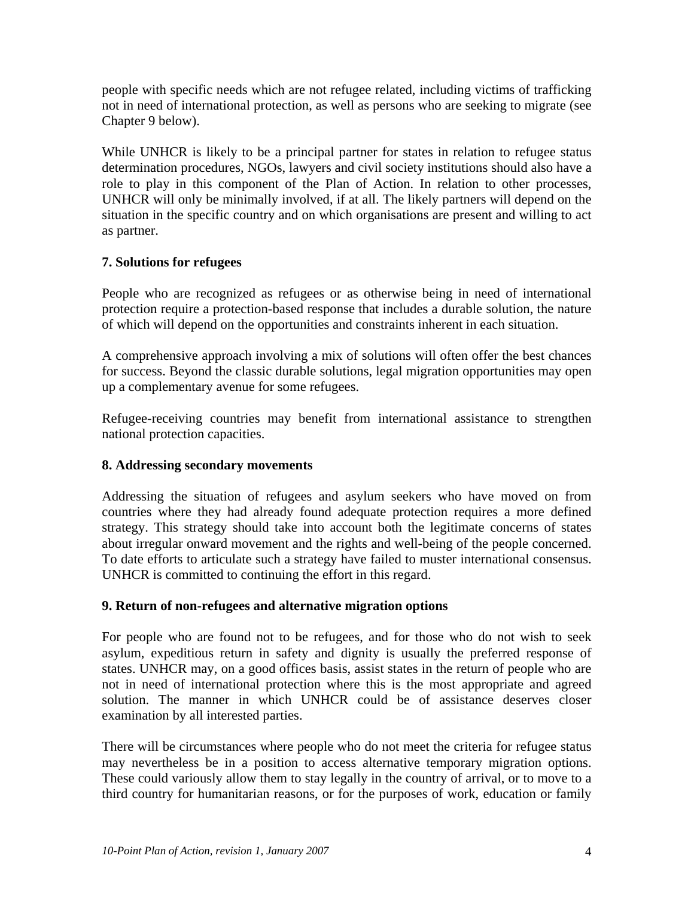people with specific needs which are not refugee related, including victims of trafficking not in need of international protection, as well as persons who are seeking to migrate (see Chapter 9 below).

While UNHCR is likely to be a principal partner for states in relation to refugee status determination procedures, NGOs, lawyers and civil society institutions should also have a role to play in this component of the Plan of Action. In relation to other processes, UNHCR will only be minimally involved, if at all. The likely partners will depend on the situation in the specific country and on which organisations are present and willing to act as partner.

## **7. Solutions for refugees**

People who are recognized as refugees or as otherwise being in need of international protection require a protection-based response that includes a durable solution, the nature of which will depend on the opportunities and constraints inherent in each situation.

A comprehensive approach involving a mix of solutions will often offer the best chances for success. Beyond the classic durable solutions, legal migration opportunities may open up a complementary avenue for some refugees.

Refugee-receiving countries may benefit from international assistance to strengthen national protection capacities.

## **8. Addressing secondary movements**

Addressing the situation of refugees and asylum seekers who have moved on from countries where they had already found adequate protection requires a more defined strategy. This strategy should take into account both the legitimate concerns of states about irregular onward movement and the rights and well-being of the people concerned. To date efforts to articulate such a strategy have failed to muster international consensus. UNHCR is committed to continuing the effort in this regard.

## **9. Return of non-refugees and alternative migration options**

For people who are found not to be refugees, and for those who do not wish to seek asylum, expeditious return in safety and dignity is usually the preferred response of states. UNHCR may, on a good offices basis, assist states in the return of people who are not in need of international protection where this is the most appropriate and agreed solution. The manner in which UNHCR could be of assistance deserves closer examination by all interested parties.

There will be circumstances where people who do not meet the criteria for refugee status may nevertheless be in a position to access alternative temporary migration options. These could variously allow them to stay legally in the country of arrival, or to move to a third country for humanitarian reasons, or for the purposes of work, education or family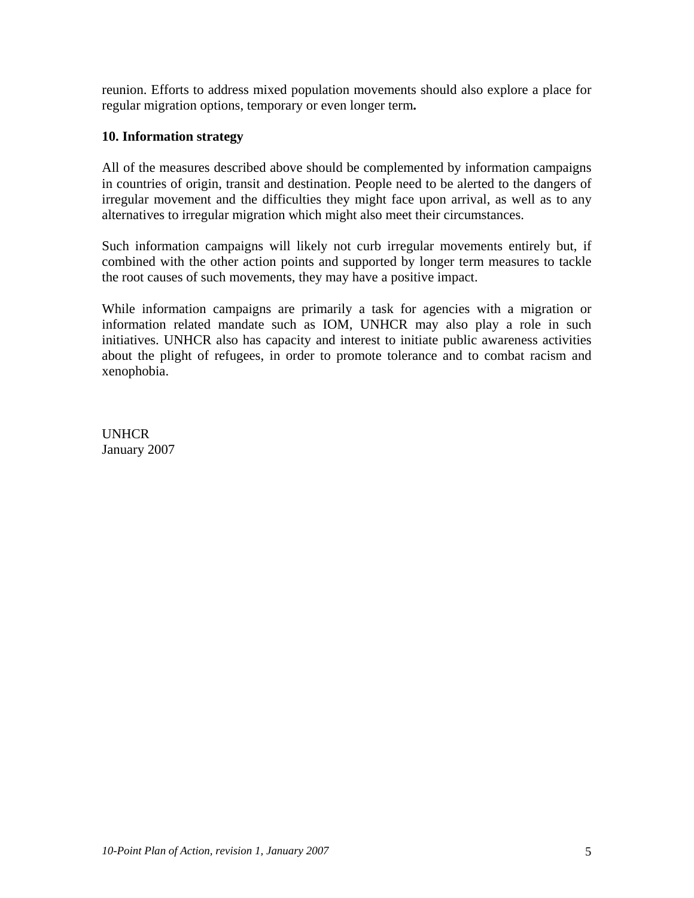reunion. Efforts to address mixed population movements should also explore a place for regular migration options, temporary or even longer term**.** 

#### **10. Information strategy**

All of the measures described above should be complemented by information campaigns in countries of origin, transit and destination. People need to be alerted to the dangers of irregular movement and the difficulties they might face upon arrival, as well as to any alternatives to irregular migration which might also meet their circumstances.

Such information campaigns will likely not curb irregular movements entirely but, if combined with the other action points and supported by longer term measures to tackle the root causes of such movements, they may have a positive impact.

While information campaigns are primarily a task for agencies with a migration or information related mandate such as IOM, UNHCR may also play a role in such initiatives. UNHCR also has capacity and interest to initiate public awareness activities about the plight of refugees, in order to promote tolerance and to combat racism and xenophobia.

UNHCR January 2007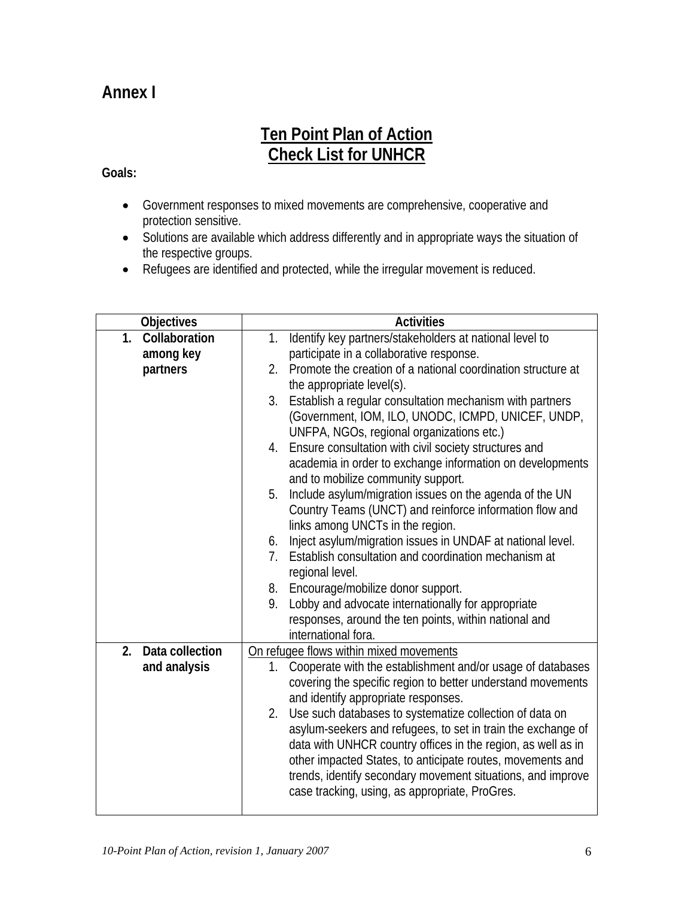# **Annex I**

## **Ten Point Plan of Action Check List for UNHCR**

## **Goals:**

- Government responses to mixed movements are comprehensive, cooperative and protection sensitive.
- Solutions are available which address differently and in appropriate ways the situation of the respective groups.
- Refugees are identified and protected, while the irregular movement is reduced.

| Objectives                      | <b>Activities</b>                                                                                                                          |
|---------------------------------|--------------------------------------------------------------------------------------------------------------------------------------------|
| Collaboration<br>1 <sub>1</sub> | Identify key partners/stakeholders at national level to<br>1.                                                                              |
| among key                       | participate in a collaborative response.                                                                                                   |
| partners                        | Promote the creation of a national coordination structure at<br>2.                                                                         |
|                                 | the appropriate level(s).                                                                                                                  |
|                                 | Establish a regular consultation mechanism with partners<br>3.                                                                             |
|                                 | (Government, IOM, ILO, UNODC, ICMPD, UNICEF, UNDP,                                                                                         |
|                                 | UNFPA, NGOs, regional organizations etc.)                                                                                                  |
|                                 | Ensure consultation with civil society structures and<br>4.                                                                                |
|                                 | academia in order to exchange information on developments                                                                                  |
|                                 | and to mobilize community support.                                                                                                         |
|                                 | Include asylum/migration issues on the agenda of the UN<br>5.                                                                              |
|                                 | Country Teams (UNCT) and reinforce information flow and                                                                                    |
|                                 | links among UNCTs in the region.                                                                                                           |
|                                 | Inject asylum/migration issues in UNDAF at national level.<br>6.<br>Establish consultation and coordination mechanism at<br>7 <sub>1</sub> |
|                                 |                                                                                                                                            |
|                                 | regional level.<br>8. Encourage/mobilize donor support.                                                                                    |
|                                 | Lobby and advocate internationally for appropriate<br>9.                                                                                   |
|                                 | responses, around the ten points, within national and                                                                                      |
|                                 | international fora.                                                                                                                        |
| Data collection<br>2.           | On refugee flows within mixed movements                                                                                                    |
| and analysis                    | Cooperate with the establishment and/or usage of databases<br>1.                                                                           |
|                                 | covering the specific region to better understand movements                                                                                |
|                                 | and identify appropriate responses.                                                                                                        |
|                                 | Use such databases to systematize collection of data on<br>2.                                                                              |
|                                 | asylum-seekers and refugees, to set in train the exchange of                                                                               |
|                                 | data with UNHCR country offices in the region, as well as in                                                                               |
|                                 | other impacted States, to anticipate routes, movements and                                                                                 |
|                                 | trends, identify secondary movement situations, and improve                                                                                |
|                                 | case tracking, using, as appropriate, ProGres.                                                                                             |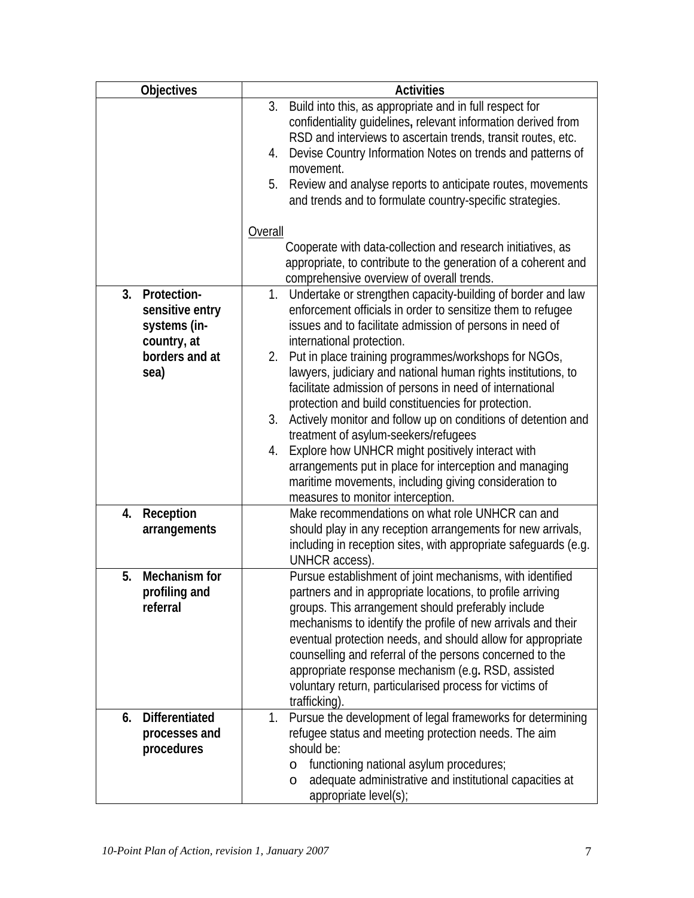| <b>Objectives</b>                                                                             | <b>Activities</b>                                                                                                                                                                                                                                                                                                                                                                                                                                                                                                                                                                                                                                                                                                                                                                                          |
|-----------------------------------------------------------------------------------------------|------------------------------------------------------------------------------------------------------------------------------------------------------------------------------------------------------------------------------------------------------------------------------------------------------------------------------------------------------------------------------------------------------------------------------------------------------------------------------------------------------------------------------------------------------------------------------------------------------------------------------------------------------------------------------------------------------------------------------------------------------------------------------------------------------------|
|                                                                                               | Build into this, as appropriate and in full respect for<br>3.<br>confidentiality guidelines, relevant information derived from<br>RSD and interviews to ascertain trends, transit routes, etc.<br>Devise Country Information Notes on trends and patterns of<br>4.<br>movement.<br>5.<br>Review and analyse reports to anticipate routes, movements<br>and trends and to formulate country-specific strategies.                                                                                                                                                                                                                                                                                                                                                                                            |
|                                                                                               | Overall<br>Cooperate with data-collection and research initiatives, as<br>appropriate, to contribute to the generation of a coherent and                                                                                                                                                                                                                                                                                                                                                                                                                                                                                                                                                                                                                                                                   |
|                                                                                               | comprehensive overview of overall trends.                                                                                                                                                                                                                                                                                                                                                                                                                                                                                                                                                                                                                                                                                                                                                                  |
| Protection-<br>3.<br>sensitive entry<br>systems (in-<br>country, at<br>borders and at<br>sea) | 1. Undertake or strengthen capacity-building of border and law<br>enforcement officials in order to sensitize them to refugee<br>issues and to facilitate admission of persons in need of<br>international protection.<br>Put in place training programmes/workshops for NGOs,<br>2.<br>lawyers, judiciary and national human rights institutions, to<br>facilitate admission of persons in need of international<br>protection and build constituencies for protection.<br>3.<br>Actively monitor and follow up on conditions of detention and<br>treatment of asylum-seekers/refugees<br>Explore how UNHCR might positively interact with<br>4.<br>arrangements put in place for interception and managing<br>maritime movements, including giving consideration to<br>measures to monitor interception. |
| Reception<br>4.<br>arrangements                                                               | Make recommendations on what role UNHCR can and<br>should play in any reception arrangements for new arrivals,<br>including in reception sites, with appropriate safeguards (e.g.<br>UNHCR access).                                                                                                                                                                                                                                                                                                                                                                                                                                                                                                                                                                                                        |
| Mechanism for<br>5.<br>profiling and<br>referral                                              | Pursue establishment of joint mechanisms, with identified<br>partners and in appropriate locations, to profile arriving<br>groups. This arrangement should preferably include<br>mechanisms to identify the profile of new arrivals and their<br>eventual protection needs, and should allow for appropriate<br>counselling and referral of the persons concerned to the<br>appropriate response mechanism (e.g. RSD, assisted<br>voluntary return, particularised process for victims of<br>trafficking).                                                                                                                                                                                                                                                                                                 |
| <b>Differentiated</b><br>6.<br>processes and<br>procedures                                    | Pursue the development of legal frameworks for determining<br>1.<br>refugee status and meeting protection needs. The aim<br>should be:<br>functioning national asylum procedures;<br>$\circ$<br>adequate administrative and institutional capacities at<br>$\circ$<br>appropriate level(s);                                                                                                                                                                                                                                                                                                                                                                                                                                                                                                                |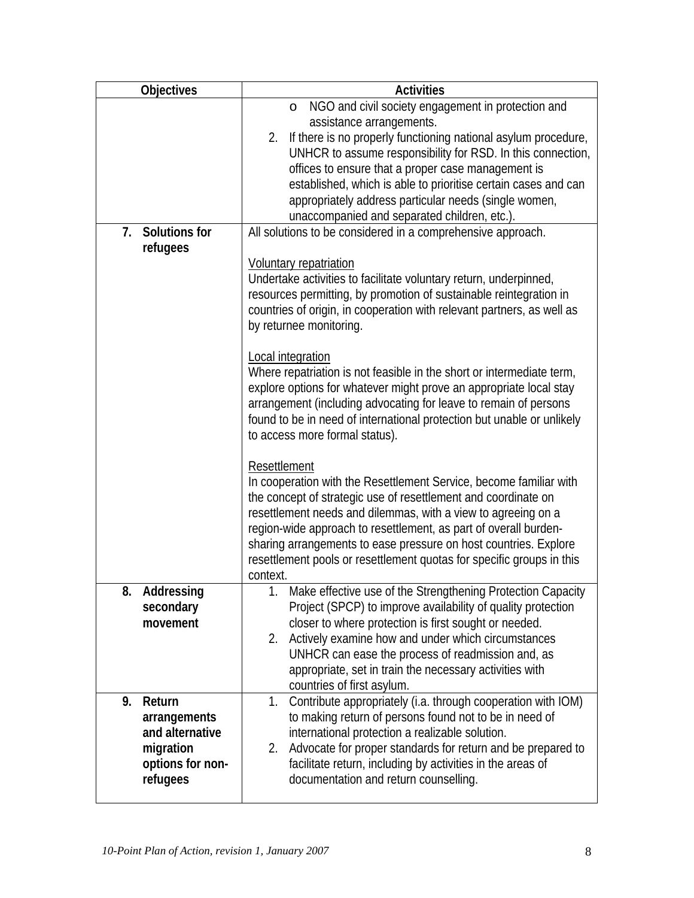| <b>Objectives</b>          | <b>Activities</b>                                                                                                                          |
|----------------------------|--------------------------------------------------------------------------------------------------------------------------------------------|
|                            | NGO and civil society engagement in protection and<br>$\circ$                                                                              |
|                            | assistance arrangements.                                                                                                                   |
|                            | 2. If there is no properly functioning national asylum procedure,                                                                          |
|                            | UNHCR to assume responsibility for RSD. In this connection,                                                                                |
|                            | offices to ensure that a proper case management is                                                                                         |
|                            | established, which is able to prioritise certain cases and can<br>appropriately address particular needs (single women,                    |
|                            | unaccompanied and separated children, etc.).                                                                                               |
| <b>Solutions for</b><br>7. | All solutions to be considered in a comprehensive approach.                                                                                |
| refugees                   |                                                                                                                                            |
|                            | <b>Voluntary repatriation</b>                                                                                                              |
|                            | Undertake activities to facilitate voluntary return, underpinned,                                                                          |
|                            | resources permitting, by promotion of sustainable reintegration in                                                                         |
|                            | countries of origin, in cooperation with relevant partners, as well as                                                                     |
|                            | by returnee monitoring.                                                                                                                    |
|                            |                                                                                                                                            |
|                            | Local integration                                                                                                                          |
|                            | Where repatriation is not feasible in the short or intermediate term,                                                                      |
|                            | explore options for whatever might prove an appropriate local stay                                                                         |
|                            | arrangement (including advocating for leave to remain of persons<br>found to be in need of international protection but unable or unlikely |
|                            | to access more formal status).                                                                                                             |
|                            |                                                                                                                                            |
|                            | Resettlement                                                                                                                               |
|                            | In cooperation with the Resettlement Service, become familiar with                                                                         |
|                            | the concept of strategic use of resettlement and coordinate on                                                                             |
|                            | resettlement needs and dilemmas, with a view to agreeing on a                                                                              |
|                            | region-wide approach to resettlement, as part of overall burden-                                                                           |
|                            | sharing arrangements to ease pressure on host countries. Explore                                                                           |
|                            | resettlement pools or resettlement quotas for specific groups in this                                                                      |
|                            | context.                                                                                                                                   |
| Addressing<br>8.           | Make effective use of the Strengthening Protection Capacity                                                                                |
| secondary<br>movement      | Project (SPCP) to improve availability of quality protection<br>closer to where protection is first sought or needed.                      |
|                            | Actively examine how and under which circumstances<br>2.                                                                                   |
|                            | UNHCR can ease the process of readmission and, as                                                                                          |
|                            | appropriate, set in train the necessary activities with                                                                                    |
|                            | countries of first asylum.                                                                                                                 |
| 9.<br>Return               | Contribute appropriately (i.a. through cooperation with IOM)<br>1.                                                                         |
| arrangements               | to making return of persons found not to be in need of                                                                                     |
| and alternative            | international protection a realizable solution.                                                                                            |
| migration                  | Advocate for proper standards for return and be prepared to<br>2.                                                                          |
| options for non-           | facilitate return, including by activities in the areas of                                                                                 |
| refugees                   | documentation and return counselling.                                                                                                      |
|                            |                                                                                                                                            |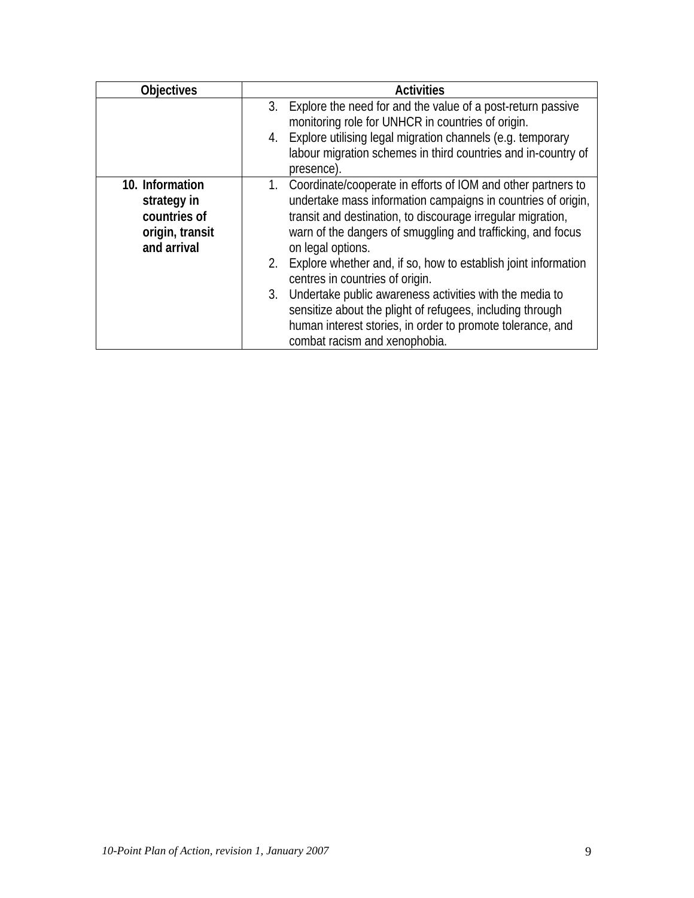| <b>Objectives</b>                                                                | <b>Activities</b>                                                                                                                                                                                                                                                                                                                    |
|----------------------------------------------------------------------------------|--------------------------------------------------------------------------------------------------------------------------------------------------------------------------------------------------------------------------------------------------------------------------------------------------------------------------------------|
|                                                                                  | Explore the need for and the value of a post-return passive<br>3.<br>monitoring role for UNHCR in countries of origin.<br>Explore utilising legal migration channels (e.g. temporary<br>4.<br>labour migration schemes in third countries and in-country of<br>presence).                                                            |
| 10. Information<br>strategy in<br>countries of<br>origin, transit<br>and arrival | 1. Coordinate/cooperate in efforts of IOM and other partners to<br>undertake mass information campaigns in countries of origin,<br>transit and destination, to discourage irregular migration,<br>warn of the dangers of smuggling and trafficking, and focus<br>on legal options.                                                   |
|                                                                                  | 2.<br>Explore whether and, if so, how to establish joint information<br>centres in countries of origin.<br>Undertake public awareness activities with the media to<br>3.<br>sensitize about the plight of refugees, including through<br>human interest stories, in order to promote tolerance, and<br>combat racism and xenophobia. |